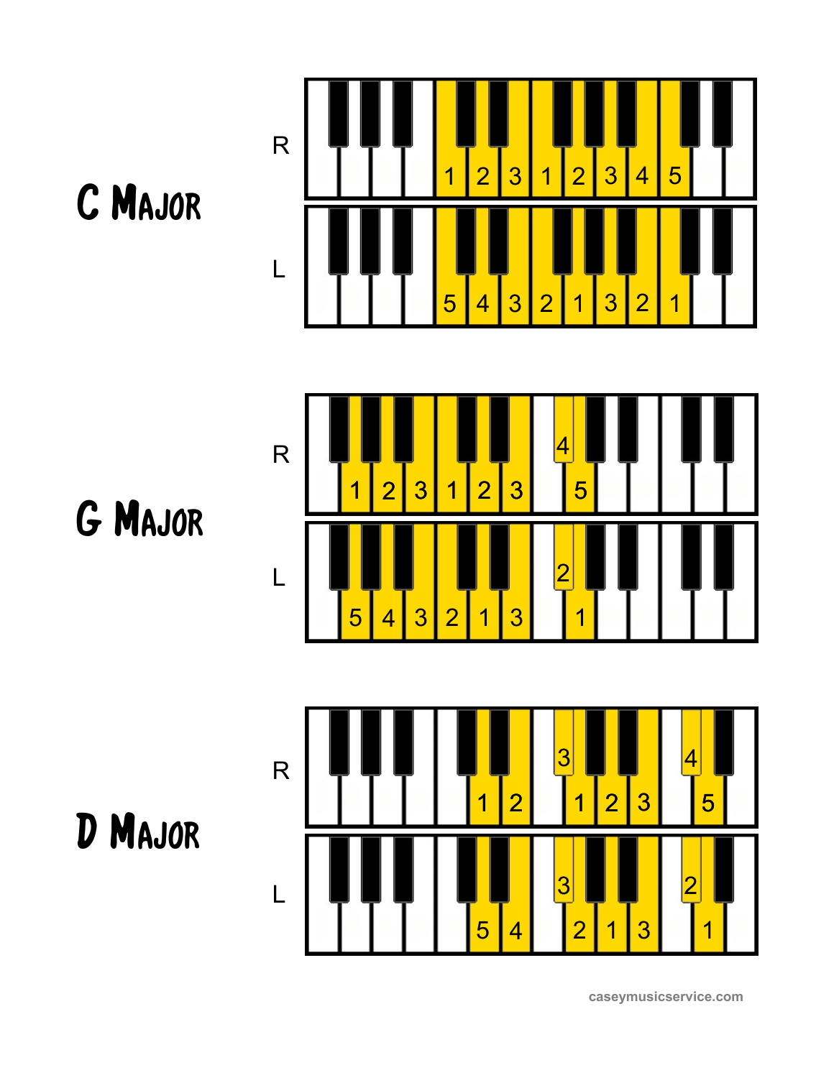



G Major





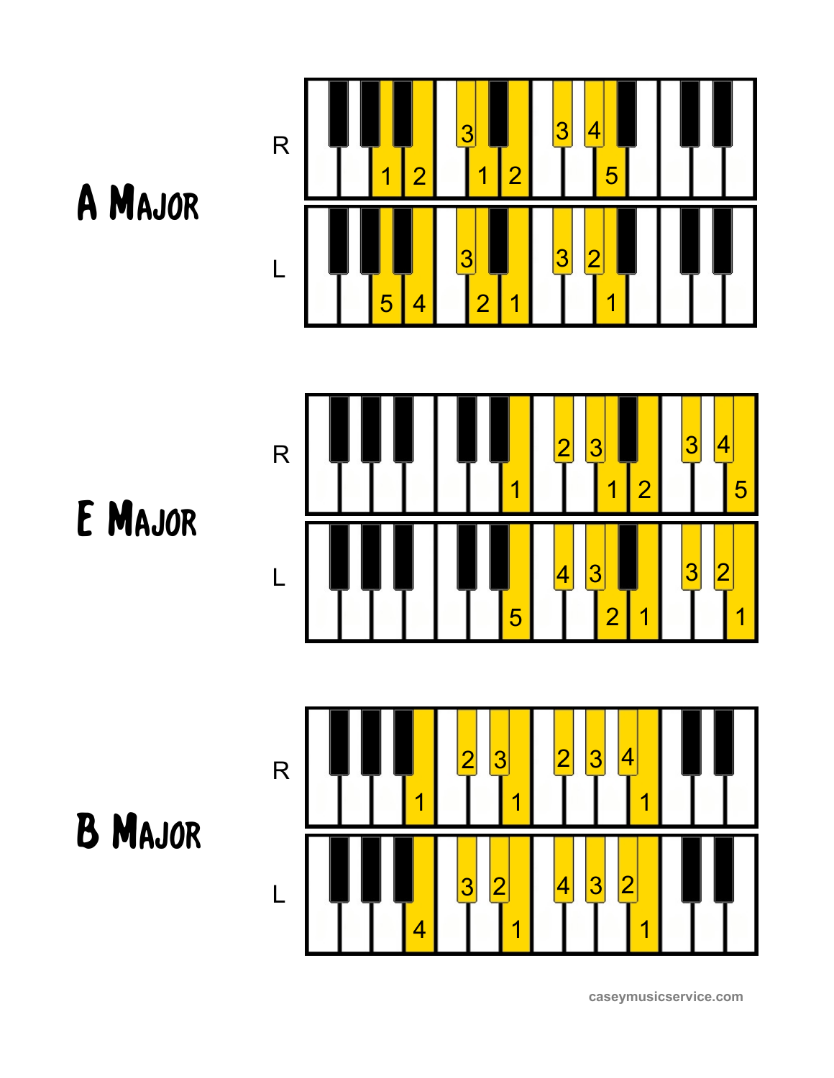



E Major



B Major

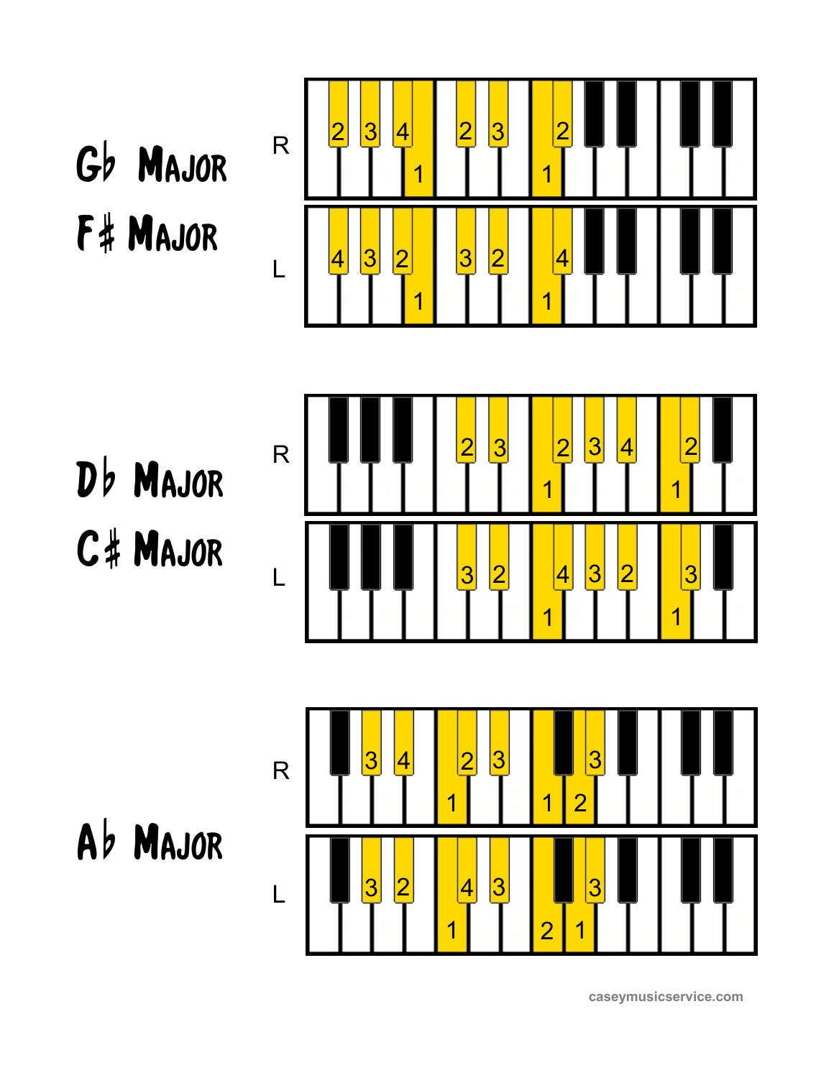Gb Major F# Major



Db Major C# Major



Ab MAJOR